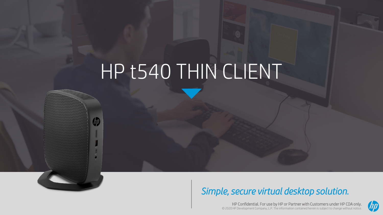# HP t540 THIN CLIENT

(hp

### *Simple, secure virtual desktop solution.*

HP Confidential. For use by HP or Partner with Customers under HP CDA only. © 2020 HP Development Company, L.P. The information contained herein is subject to change without notice.

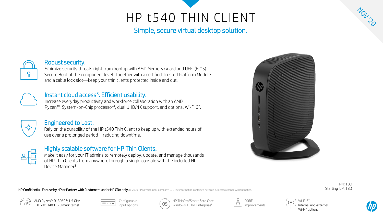### HP t540 THIN CLIENT

Simple, secure virtual desktop solution.



#### Robust security.

Minimize security threats right from bootup with AMD Memory Guard and UEFI (BIOS) Secure Boot at the component level. Together with a certified Trusted Platform Module and a cable lock slot—keep your thin clients protected inside and out.



#### Instant cloud access<sup>5</sup>. Efficient usability.

Increase everyday productivity and workforce collaboration with an AMD Ryzen™ System-on-Chip processor<sup>4</sup>, dual UHD/4K support, and optional Wi-Fi 6<sup>7</sup>.



#### Engineered to Last.

Rely on the durability of the HP t540 Thin Client to keep up with extended hours of use over a prolonged period—reducing downtime.



#### Highly scalable software for HP Thin Clients.

Make it easy for your IT admins to remotely deploy, update, and manage thousands of HP Thin Clients from anywhere through a single console with the included HP Device Manager<sup>3</sup>.



HP Confidential. For use by HP or Partner with Customers under HP CDA only. © 2020 HP Development Company, L.P. The information contained herein is subject to change without notice.

PN: TBD Starting ILP: TBD











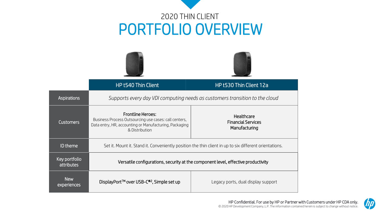## 2020 THIN CLIENT PORTFOLIO OVERVIEW





|                                    | HP t540 Thin Client                                                                                                                                           | HP t530 Thin Client 12a                                  |
|------------------------------------|---------------------------------------------------------------------------------------------------------------------------------------------------------------|----------------------------------------------------------|
| <b>Aspirations</b>                 | Supports every day VDI computing needs as customers transition to the cloud                                                                                   |                                                          |
| <b>Customers</b>                   | <b>Frontline Heroes:</b><br>Business Process Outsourcing use cases: call centers,<br>Data entry, HR, accounting or Manufacturing, Packaging<br>& Distribution | Healthcare<br><b>Financial Services</b><br>Manufacturing |
| <b>ID</b> theme                    | Set it. Mount it. Stand it. Conveniently position the thin client in up to six different orientations.                                                        |                                                          |
| Key portfolio<br><b>attributes</b> | Versatile configurations, security at the component level, effective productivity                                                                             |                                                          |
| <b>New</b><br>experiences          | DisplayPort™ over USB-C® <sup>2</sup> , Simple set up                                                                                                         | Legacy ports, dual display support                       |

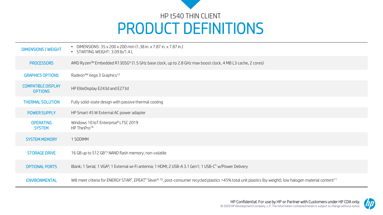

| <b>DIMENSIONS / WEIGHT</b>                  | DIMENSIONS: 35 x 200 x 200 mm (1.38 in. x 7.87 in. x 7.87 in.)<br>• STARTING WEIGHT: 3.09 lb/1.4 L                                                                                     |
|---------------------------------------------|----------------------------------------------------------------------------------------------------------------------------------------------------------------------------------------|
| <b>PROCESSORS</b>                           | AMD Ryzen™ Embedded R1305G <sup>4</sup> (1.5 GHz base clock, up to 2.8 GHz max boost clock, 4 MB L3 cache, 2 cores)                                                                    |
| <b>GRAPHICS OPTIONS</b>                     | Radeon <sup>™</sup> Vega 3 Graphics <sup>12</sup>                                                                                                                                      |
| <b>COMPATIBLE DISPLAY</b><br><b>OPTIONS</b> | HP EliteDisplay E243d and E273d                                                                                                                                                        |
| <b>THERMAL SOLUTION</b>                     | Fully solid-state design with passive thermal cooling                                                                                                                                  |
| <b>POWER SUPPLY</b>                         | HP Smart 45 W External AC power adapter                                                                                                                                                |
| <b>OPERATING</b><br><b>SYSTEM</b>           | Windows 10 IoT Enterprise <sup>8</sup> LTSC 2019<br>HP ThinPro <sup>16</sup>                                                                                                           |
| <b>SYSTEM MEMORY</b>                        | 1 SODIMM                                                                                                                                                                               |
| <b>STORAGE DRIVE</b>                        | 16 GB up to 512 GB <sup>15</sup> NAND flash memory; non-volatile                                                                                                                       |
| <b>OPTIONAL PORTS</b>                       | Blank; 1 Serial, 1 VGA <sup>6</sup> ; 1 External wi-Fi antenna; 1 HDMI; 2 USB-A 3.1 Gen1; 1 USB-C <sup>®</sup> w/Power Delivery                                                        |
| <b>ENVIRONMENTAL</b>                        | Will meet criteria for ENERGY STAR®, EPEAT® Silver <sup>9, 10</sup> , post-consumer recycled plastics >45% total unit plastics (by weight); low halogen material content <sup>11</sup> |